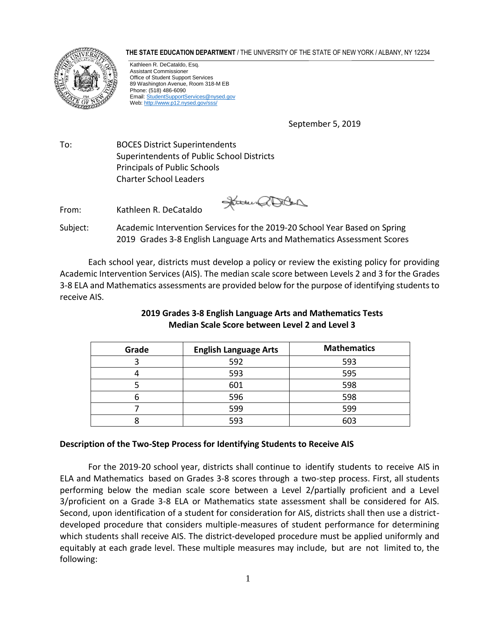**THE STATE EDUCATION DEPARTMENT** / THE UNIVERSITY OF THE STATE OF NEW YORK / ALBANY, NY 12234



Kathleen R. DeCataldo, Esq. Assistant Commissioner Office of Student Support Services 89 Washington Avenue, Room 318-M EB Phone: (518) 486-6090 Email[: StudentSupportServices@nysed.gov](mailto:StudentSupportServices@nysed.gov) Web[: http://www.p12.nysed.gov/sss/](http://www.p12.nysed.gov/sss/)

September 5, 2019

To: BOCES District Superintendents Superintendents of Public School Districts Principals of Public Schools Charter School Leaders

From: Kathleen R. DeCataldo

James all Didas

Subject: Academic Intervention Services for the 2019-20 School Year Based on Spring 2019 Grades 3-8 English Language Arts and Mathematics Assessment Scores

Each school year, districts must develop a policy or review the existing policy for providing Academic Intervention Services (AIS). The median scale score between Levels 2 and 3 for the Grades 3-8 ELA and Mathematics assessments are provided below for the purpose of identifying students to receive AIS.

| Grade | <b>English Language Arts</b> | <b>Mathematics</b> |
|-------|------------------------------|--------------------|
|       | 592                          | 593                |
|       | 593                          | 595                |
|       | 601                          | 598                |
|       | 596                          | 598                |
|       | 599                          | 599                |
|       | 593                          | 603                |

## **2019 Grades 3-8 English Language Arts and Mathematics Tests Median Scale Score between Level 2 and Level 3**

## **Description of the Two-Step Process for Identifying Students to Receive AIS**

For the 2019-20 school year, districts shall continue to identify students to receive AIS in ELA and Mathematics based on Grades 3-8 scores through a two-step process. First, all students performing below the median scale score between a Level 2/partially proficient and a Level 3/proficient on a Grade 3-8 ELA or Mathematics state assessment shall be considered for AIS. Second, upon identification of a student for consideration for AIS, districts shall then use a districtdeveloped procedure that considers multiple-measures of student performance for determining which students shall receive AIS. The district-developed procedure must be applied uniformly and equitably at each grade level. These multiple measures may include, but are not limited to, the following: